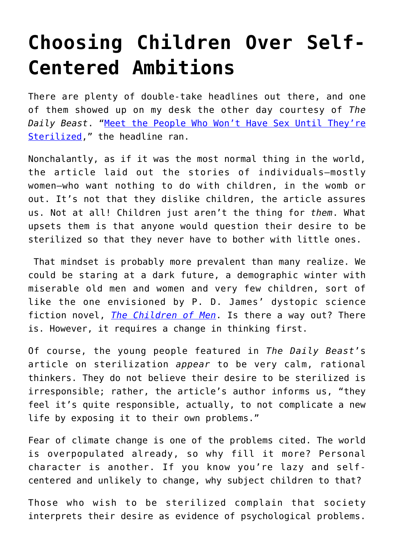## **[Choosing Children Over Self-](https://intellectualtakeout.org/2021/10/choosing-children-over-self-centered-ambitions/)[Centered Ambitions](https://intellectualtakeout.org/2021/10/choosing-children-over-self-centered-ambitions/)**

There are plenty of double-take headlines out there, and one of them showed up on my desk the other day courtesy of *The Daily Beast*. "[Meet the People Who Won't Have Sex Until They're](https://www.thedailybeast.com/meet-the-people-who-wont-have-sex-until-theyre-sterilized) [Sterilized,](https://www.thedailybeast.com/meet-the-people-who-wont-have-sex-until-theyre-sterilized)" the headline ran.

Nonchalantly, as if it was the most normal thing in the world, the article laid out the stories of individuals—mostly women—who want nothing to do with children, in the womb or out. It's not that they dislike children, the article assures us. Not at all! Children just aren't the thing for *them*. What upsets them is that anyone would question their desire to be sterilized so that they never have to bother with little ones.

 That mindset is probably more prevalent than many realize. We could be staring at a dark future, a demographic winter with miserable old men and women and very few children, sort of like the one envisioned by P. D. James' dystopic science fiction novel, *[The Children of Men](https://www.amazon.com/Children-Men-P-D-James/dp/0307275434)*. Is there a way out? There is. However, it requires a change in thinking first.

Of course, the young people featured in *The Daily Beast*'s article on sterilization *appear* to be very calm, rational thinkers. They do not believe their desire to be sterilized is irresponsible; rather, the article's author informs us, "they feel it's quite responsible, actually, to not complicate a new life by exposing it to their own problems."

Fear of climate change is one of the problems cited. The world is overpopulated already, so why fill it more? Personal character is another. If you know you're lazy and selfcentered and unlikely to change, why subject children to that?

Those who wish to be sterilized complain that society interprets their desire as evidence of psychological problems.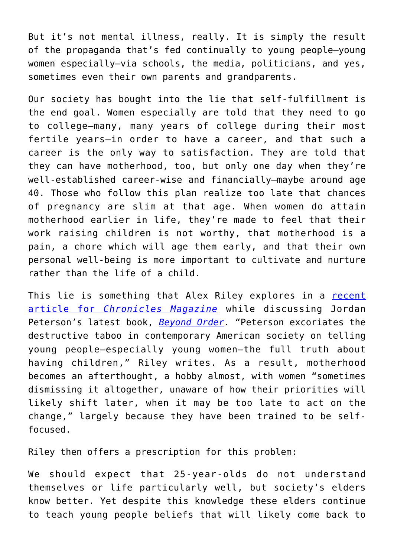But it's not mental illness, really. It is simply the result of the propaganda that's fed continually to young people—young women especially—via schools, the media, politicians, and yes, sometimes even their own parents and grandparents.

Our society has bought into the lie that self-fulfillment is the end goal. Women especially are told that they need to go to college—many, many years of college during their most fertile years—in order to have a career, and that such a career is the only way to satisfaction. They are told that they can have motherhood, too, but only one day when they're well-established career-wise and financially—maybe around age 40. Those who follow this plan realize too late that chances of pregnancy are slim at that age. When women do attain motherhood earlier in life, they're made to feel that their work raising children is not worthy, that motherhood is a pain, a chore which will age them early, and that their own personal well-being is more important to cultivate and nurture rather than the life of a child.

This lie is something that Alex Riley explores in a [recent](https://www.chroniclesmagazine.org/the-deplorables--academics/) [article for](https://www.chroniclesmagazine.org/the-deplorables--academics/) *[Chronicles Magazine](https://www.chroniclesmagazine.org/the-deplorables--academics/)* while discussing Jordan Peterson's latest book, *[Beyond Order.](https://www.amazon.com/gp/product/0593084640/ref=as_li_qf_asin_il_tl?ie=UTF8&tag=intelltakeo0d-20&creative=9325&linkCode=as2&creativeASIN=0593084640&linkId=b21a44a96764d04902bedaaf3fa8a906)* "Peterson excoriates the destructive taboo in contemporary American society on telling young people—especially young women—the full truth about having children," Riley writes. As a result, motherhood becomes an afterthought, a hobby almost, with women "sometimes dismissing it altogether, unaware of how their priorities will likely shift later, when it may be too late to act on the change," largely because they have been trained to be selffocused.

Riley then offers a prescription for this problem:

We should expect that 25-year-olds do not understand themselves or life particularly well, but society's elders know better. Yet despite this knowledge these elders continue to teach young people beliefs that will likely come back to